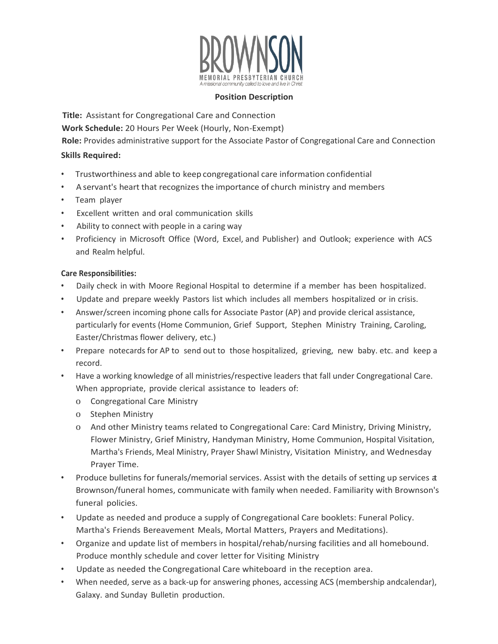

#### **Position Description**

**Title:** Assistant for Congregational Care and Connection **Work Schedule:** 20 Hours Per Week (Hourly, Non-Exempt) **Role:** Provides administrative support for the Associate Pastor of Congregational Care and Connection **Skills Required:**

- Trustworthiness and able to keep congregational care information confidential
- A servant's heart that recognizes the importance of church ministry and members
- Team player
- Excellent written and oral communication skills
- Ability to connect with people in a caring way
- Proficiency in Microsoft Office (Word, Excel, and Publisher) and Outlook; experience with ACS and Realm helpful.

### **Care Responsibilities:**

- Daily check in with Moore Regional Hospital to determine if a member has been hospitalized.
- Update and prepare weekly Pastors list which includes all members hospitalized or in crisis.
- Answer/screen incoming phone calls for Associate Pastor (AP) and provide clerical assistance, particularly for events (Home Communion, Grief Support, Stephen Ministry Training, Caroling, Easter/Christmas flower delivery, etc.)
- Prepare notecards for AP to send out to those hospitalized, grieving, new baby. etc. and keep a record.
- Have a working knowledge of all ministries/respective leaders that fall under Congregational Care. When appropriate, provide clerical assistance to leaders of:
	- o Congregational Care Ministry
	- o Stephen Ministry
	- o And other Ministry teams related to Congregational Care: Card Ministry, Driving Ministry, Flower Ministry, Grief Ministry, Handyman Ministry, Home Communion, Hospital Visitation, Martha's Friends, Meal Ministry, Prayer Shawl Ministry, Visitation Ministry, and Wednesday Prayer Time.
- Produce bulletins for funerals/memorial services. Assist with the details of setting up services at Brownson/funeral homes, communicate with family when needed. Familiarity with Brownson's funeral policies.
- Update as needed and produce a supply of Congregational Care booklets: Funeral Policy. Martha's Friends Bereavement Meals, Mortal Matters, Prayers and Meditations).
- Organize and update list of members in hospital/rehab/nursing facilities and all homebound. Produce monthly schedule and cover letter for Visiting Ministry
- Update as needed the Congregational Care whiteboard in the reception area.
- When needed, serve as a back-up for answering phones, accessing ACS (membership andcalendar), Galaxy. and Sunday Bulletin production.